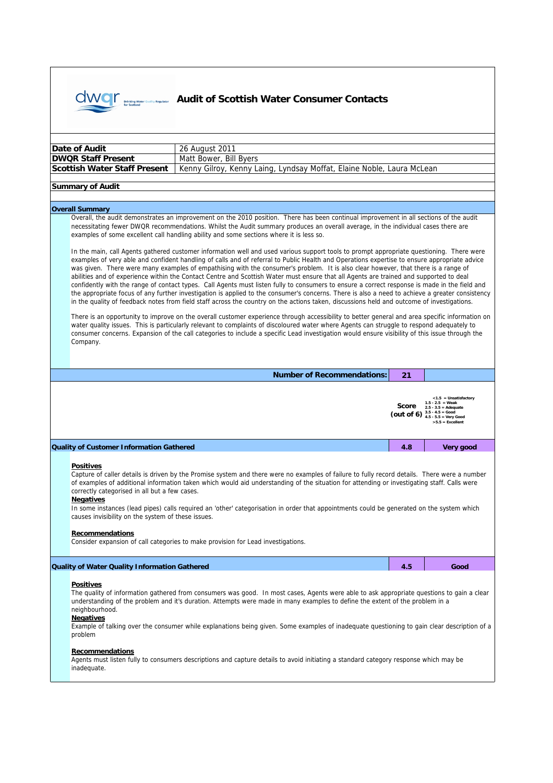

## **Audit of Scottish Water Consumer Contacts**

| Date of Audit<br>26 August 2011                                                                                                                                                                                                                                                                                                                                                                                                                                                                                                                                                                                                                                                                                                                                                                                                                                                                                                                                                                                                                                                                                                                                                                                                                                                                                                                                                                                                                                                                                                                                                                                                                                                                                                                                                                                                                       |                                   |                                        |                                                                                                                           |  |  |
|-------------------------------------------------------------------------------------------------------------------------------------------------------------------------------------------------------------------------------------------------------------------------------------------------------------------------------------------------------------------------------------------------------------------------------------------------------------------------------------------------------------------------------------------------------------------------------------------------------------------------------------------------------------------------------------------------------------------------------------------------------------------------------------------------------------------------------------------------------------------------------------------------------------------------------------------------------------------------------------------------------------------------------------------------------------------------------------------------------------------------------------------------------------------------------------------------------------------------------------------------------------------------------------------------------------------------------------------------------------------------------------------------------------------------------------------------------------------------------------------------------------------------------------------------------------------------------------------------------------------------------------------------------------------------------------------------------------------------------------------------------------------------------------------------------------------------------------------------------|-----------------------------------|----------------------------------------|---------------------------------------------------------------------------------------------------------------------------|--|--|
| <b>DWQR Staff Present</b><br>Matt Bower, Bill Byers                                                                                                                                                                                                                                                                                                                                                                                                                                                                                                                                                                                                                                                                                                                                                                                                                                                                                                                                                                                                                                                                                                                                                                                                                                                                                                                                                                                                                                                                                                                                                                                                                                                                                                                                                                                                   |                                   |                                        |                                                                                                                           |  |  |
| <b>Scottish Water Staff Present</b><br>Kenny Gilroy, Kenny Laing, Lyndsay Moffat, Elaine Noble, Laura McLean                                                                                                                                                                                                                                                                                                                                                                                                                                                                                                                                                                                                                                                                                                                                                                                                                                                                                                                                                                                                                                                                                                                                                                                                                                                                                                                                                                                                                                                                                                                                                                                                                                                                                                                                          |                                   |                                        |                                                                                                                           |  |  |
| <b>Summary of Audit</b>                                                                                                                                                                                                                                                                                                                                                                                                                                                                                                                                                                                                                                                                                                                                                                                                                                                                                                                                                                                                                                                                                                                                                                                                                                                                                                                                                                                                                                                                                                                                                                                                                                                                                                                                                                                                                               |                                   |                                        |                                                                                                                           |  |  |
|                                                                                                                                                                                                                                                                                                                                                                                                                                                                                                                                                                                                                                                                                                                                                                                                                                                                                                                                                                                                                                                                                                                                                                                                                                                                                                                                                                                                                                                                                                                                                                                                                                                                                                                                                                                                                                                       |                                   |                                        |                                                                                                                           |  |  |
| <b>Overall Summary</b>                                                                                                                                                                                                                                                                                                                                                                                                                                                                                                                                                                                                                                                                                                                                                                                                                                                                                                                                                                                                                                                                                                                                                                                                                                                                                                                                                                                                                                                                                                                                                                                                                                                                                                                                                                                                                                |                                   |                                        |                                                                                                                           |  |  |
| Overall, the audit demonstrates an improvement on the 2010 position. There has been continual improvement in all sections of the audit<br>necessitating fewer DWQR recommendations. Whilst the Audit summary produces an overall average, in the individual cases there are<br>examples of some excellent call handling ability and some sections where it is less so.<br>In the main, call Agents gathered customer information well and used various support tools to prompt appropriate questioning. There were<br>examples of very able and confident handling of calls and of referral to Public Health and Operations expertise to ensure appropriate advice<br>was given. There were many examples of empathising with the consumer's problem. It is also clear however, that there is a range of<br>abilities and of experience within the Contact Centre and Scottish Water must ensure that all Agents are trained and supported to deal<br>confidently with the range of contact types. Call Agents must listen fully to consumers to ensure a correct response is made in the field and<br>the appropriate focus of any further investigation is applied to the consumer's concerns. There is also a need to achieve a greater consistency<br>in the quality of feedback notes from field staff across the country on the actions taken, discussions held and outcome of investigations.<br>There is an opportunity to improve on the overall customer experience through accessibility to better general and area specific information on<br>water quality issues. This is particularly relevant to complaints of discoloured water where Agents can struggle to respond adequately to<br>consumer concerns. Expansion of the call categories to include a specific Lead investigation would ensure visibility of this issue through the |                                   |                                        |                                                                                                                           |  |  |
| Company.                                                                                                                                                                                                                                                                                                                                                                                                                                                                                                                                                                                                                                                                                                                                                                                                                                                                                                                                                                                                                                                                                                                                                                                                                                                                                                                                                                                                                                                                                                                                                                                                                                                                                                                                                                                                                                              |                                   |                                        |                                                                                                                           |  |  |
|                                                                                                                                                                                                                                                                                                                                                                                                                                                                                                                                                                                                                                                                                                                                                                                                                                                                                                                                                                                                                                                                                                                                                                                                                                                                                                                                                                                                                                                                                                                                                                                                                                                                                                                                                                                                                                                       | <b>Number of Recommendations:</b> | 21                                     |                                                                                                                           |  |  |
|                                                                                                                                                                                                                                                                                                                                                                                                                                                                                                                                                                                                                                                                                                                                                                                                                                                                                                                                                                                                                                                                                                                                                                                                                                                                                                                                                                                                                                                                                                                                                                                                                                                                                                                                                                                                                                                       |                                   | Score<br>(out of 6) $3.5 - 4.5 = Good$ | $<$ 1.5 = Unsatisfactory<br>$1.5 - 2.5 = Weak$<br>$2.5 - 3.5 =$ Adequate<br>$4.5 - 5.5 =$ Very Good<br>$>5.5$ = Excellent |  |  |
| <b>Quality of Customer Information Gathered</b>                                                                                                                                                                                                                                                                                                                                                                                                                                                                                                                                                                                                                                                                                                                                                                                                                                                                                                                                                                                                                                                                                                                                                                                                                                                                                                                                                                                                                                                                                                                                                                                                                                                                                                                                                                                                       |                                   | 4.8                                    | Very good                                                                                                                 |  |  |
| <b>Positives</b><br>Capture of caller details is driven by the Promise system and there were no examples of failure to fully record details. There were a number<br>of examples of additional information taken which would aid understanding of the situation for attending or investigating staff. Calls were<br>correctly categorised in all but a few cases.<br><b>Negatives</b><br>In some instances (lead pipes) calls required an 'other' categorisation in order that appointments could be generated on the system which<br>causes invisibility on the system of these issues.<br><b>Recommendations</b><br>Consider expansion of call categories to make provision for Lead investigations.                                                                                                                                                                                                                                                                                                                                                                                                                                                                                                                                                                                                                                                                                                                                                                                                                                                                                                                                                                                                                                                                                                                                                 |                                   |                                        |                                                                                                                           |  |  |
| <b>Quality of Water Quality Information Gathered</b>                                                                                                                                                                                                                                                                                                                                                                                                                                                                                                                                                                                                                                                                                                                                                                                                                                                                                                                                                                                                                                                                                                                                                                                                                                                                                                                                                                                                                                                                                                                                                                                                                                                                                                                                                                                                  |                                   | 4.5                                    | Good                                                                                                                      |  |  |
| <b>Positives</b><br>The quality of information gathered from consumers was good. In most cases, Agents were able to ask appropriate questions to gain a clear<br>understanding of the problem and it's duration. Attempts were made in many examples to define the extent of the problem in a<br>neighbourhood.<br><b>Negatives</b><br>Example of talking over the consumer while explanations being given. Some examples of inadequate questioning to gain clear description of a<br>problem<br>Recommendations                                                                                                                                                                                                                                                                                                                                                                                                                                                                                                                                                                                                                                                                                                                                                                                                                                                                                                                                                                                                                                                                                                                                                                                                                                                                                                                                      |                                   |                                        |                                                                                                                           |  |  |
| Agents must listen fully to consumers descriptions and capture details to avoid initiating a standard category response which may be<br>inadequate.                                                                                                                                                                                                                                                                                                                                                                                                                                                                                                                                                                                                                                                                                                                                                                                                                                                                                                                                                                                                                                                                                                                                                                                                                                                                                                                                                                                                                                                                                                                                                                                                                                                                                                   |                                   |                                        |                                                                                                                           |  |  |